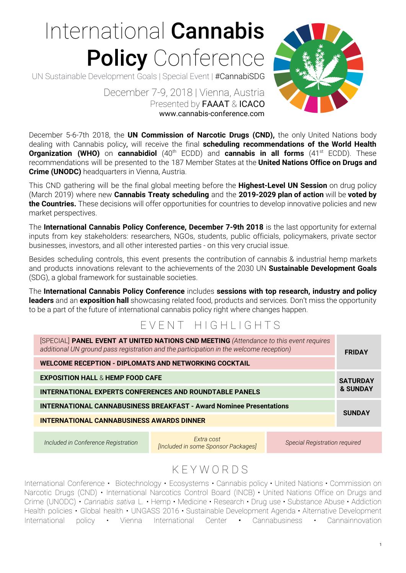# International Cannabis Policy Conference

UN Sustainable Development Goals | Special Event | #CannabiSDG



 December 7-9, 2018 | Vienna, Austria Presented by FAAAT & ICACO www.cannabis-conference.com

December 5-6-7th 2018, the **UN Commission of Narcotic Drugs (CND),** the only United Nations body dealing with Cannabis policy, will receive the final **scheduling recommendations of the World Health Organization (WHO)** on **cannabidiol** (40<sup>th</sup> ECDD) and **cannabis in all forms** (41<sup>st</sup> ECDD). These recommendations will be presented to the 187 Member States at the **United Nations Office on Drugs and Crime (UNODC)** headquarters in Vienna, Austria.

This CND gathering will be the final global meeting before the **Highest-Level UN Session** on drug policy (March 2019) where new **Cannabis Treaty scheduling** and the **2019-2029 plan of action** will be **voted by the Countries.** These decisions will offer opportunities for countries to develop innovative policies and new market perspectives.

The **International Cannabis Policy Conference, December 7-9th 2018** is the last opportunity for external inputs from key stakeholders: researchers, NGOs, students, public officials, policymakers, private sector businesses, investors, and all other interested parties - on this very crucial issue.

Besides scheduling controls, this event presents the contribution of cannabis & industrial hemp markets and products innovations relevant to the achievements of the 2030 UN **Sustainable Development Goals** (SDG), a global framework for sustainable societies.

The **International Cannabis Policy Conference** includes **sessions with top research, industry and policy leaders** and an **exposition hall** showcasing related food, products and services. Don't miss the opportunity to be a part of the future of international cannabis policy right where changes happen.

#### EVENT HIGHLIGHTS

| [SPECIAL] PANEL EVENT AT UNITED NATIONS CND MEETING (Attendance to this event requires<br>additional UN ground pass registration and the participation in the welcome reception)<br>WELCOME RECEPTION - DIPLOMATS AND NETWORKING COCKTAIL |                                                         |  |                                      |  |
|-------------------------------------------------------------------------------------------------------------------------------------------------------------------------------------------------------------------------------------------|---------------------------------------------------------|--|--------------------------------------|--|
| <b>EXPOSITION HALL &amp; HEMP FOOD CAFE</b>                                                                                                                                                                                               |                                                         |  | <b>SATURDAY</b>                      |  |
| <b>&amp; SUNDAY</b><br><b>INTERNATIONAL EXPERTS CONFERENCES AND ROUNDTABLE PANELS</b>                                                                                                                                                     |                                                         |  |                                      |  |
| <b>INTERNATIONAL CANNABUSINESS BREAKFAST - Award Nominee Presentations</b><br><b>SUNDAY</b>                                                                                                                                               |                                                         |  |                                      |  |
| <b>INTERNATIONAL CANNABUSINESS AWARDS DINNER</b>                                                                                                                                                                                          |                                                         |  |                                      |  |
|                                                                                                                                                                                                                                           |                                                         |  |                                      |  |
| Included in Conference Registration                                                                                                                                                                                                       | Extra cost<br><i>Included in same Changer Deckersed</i> |  | <b>Special Registration required</b> |  |

*[Included in some Sponsor Packages] Special Registration required*

### K E Y W O R D S

International Conference • Biotechnology • Ecosystems • Cannabis policy • United Nations • Commission on Narcotic Drugs (CND) • International Narcotics Control Board (INCB) • United Nations Office on Drugs and Crime (UNODC) • *Cannabis sativa* L. • Hemp • Medicine • Research • Drug use • Substance Abuse • Addiction Health policies • Global health • UNGASS 2016 • Sustainable Development Agenda • Alternative Development International policy • Vienna International Center • Cannabusiness • Cannainnovation